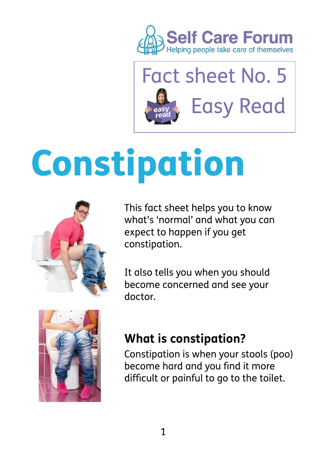



# Constipation



This fact sheet helps you to know what's 'normal' and what you can expect to happen if you get constipation.

It also tells you when you should become concerned and see your doctor.



#### **What is constipation?**

Constipation is when your stools (poo) become hard and you find it more difficult or painful to go to the toilet.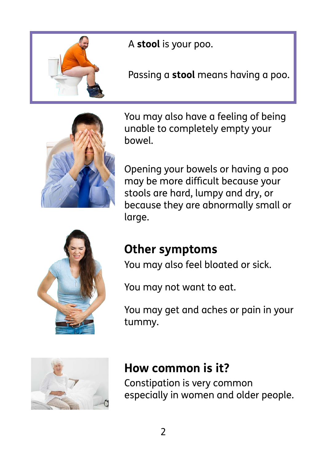

A **stool** is your poo.

Passing a **stool** means having a poo.



You may also have a feeling of being unable to completely empty your bowel.

Opening your bowels or having a poo may be more difficult because your stools are hard, lumpy and dry, or because they are abnormally small or large.



#### **Other symptoms**

You may also feel bloated or sick.

You may not want to eat.

 tummy. You may get and aches or pain in your



#### **How common is it?**

Constipation is very common especially in women and older people.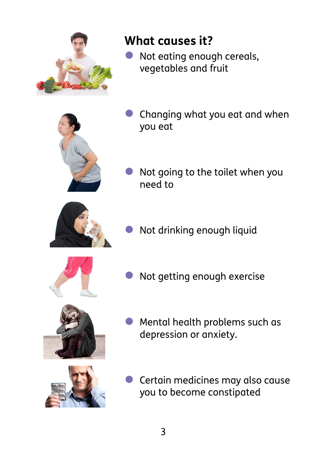

#### **What causes it?**

Not eating enough cereals, vegetables and fruit



• Changing what you eat and when you eat





• Not drinking enough liquid



Not getting enough exercise



depression or anxiety. • Mental health problems such as



Certain medicines may also cause you to become constipated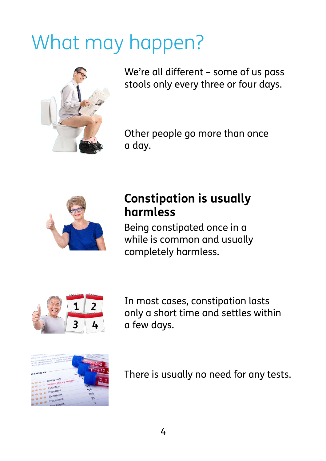# What may happen?



We're all different – some of us pass stools only every three or four days.

Other people go more than once a day.



#### **Constipation is usually harmless**

Being constipated once in a while is common and usually completely harmless.



In most cases, constipation lasts only a short time and settles within a few days.



There is usually no need for any tests.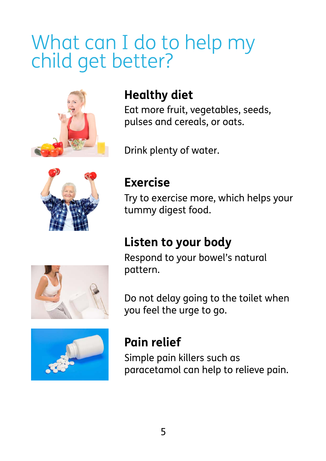## What can I do to help my child get better?



#### **Healthy diet**

Eat more fruit, vegetables, seeds, pulses and cereals, or oats.

Drink plenty of water.



#### **Exercise**

Try to exercise more, which helps your tummy digest food.

### **Listen to your body**

Respond to your bowel's natural pattern.



Do not delay going to the toilet when you feel the urge to go.



#### **Pain relief**

Simple pain killers such as paracetamol can help to relieve pain.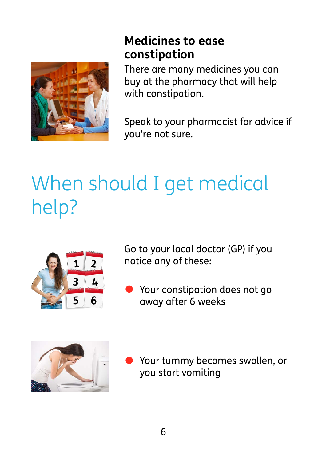

#### **constipation Medicines to ease**

There are many medicines you can buy at the pharmacy that will help with constipation.

Speak to your pharmacist for advice if you're not sure.

# When should I get medical help?



Go to your local doctor (GP) if you notice any of these:

away after 6 weeks • Your constipation does not go



Your tummy becomes swollen, or you start vomiting